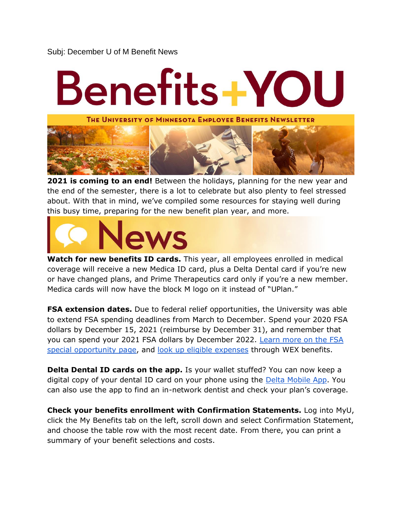## Subj: December U of M Benefit News

## Benefits+YOU THE UNIVERSITY OF MINNESOTA EMPLOYEE BENEFITS NEWSLETTER

**2021 is coming to an end!** Between the holidays, planning for the new year and the end of the semester, there is a lot to celebrate but also plenty to feel stressed about. With that in mind, we've compiled some resources for staying well during this busy time, preparing for the new benefit plan year, and more.



**Watch for new benefits ID cards.** This year, all employees enrolled in medical coverage will receive a new Medica ID card, plus a Delta Dental card if you're new or have changed plans, and Prime Therapeutics card only if you're a new member. Medica cards will now have the block M logo on it instead of "UPlan."

**FSA extension dates.** Due to federal relief opportunities, the University was able to extend FSA spending deadlines from March to December. Spend your 2020 FSA dollars by December 15, 2021 (reimburse by December 31), and remember that you can spend your 2021 FSA dollars by December 2022. [Learn more on the FSA](https://humanresources.umn.edu/flexible-spending-accounts/2021-special-fsa-opportunities)  [special opportunity page,](https://humanresources.umn.edu/flexible-spending-accounts/2021-special-fsa-opportunities) and [look up eligible expenses](https://www.discoverybenefits.com/employees/eligible-expenses) through WEX benefits.

**Delta Dental ID cards on the app.** Is your wallet stuffed? You can now keep a digital copy of your dental ID card on your phone using the [Delta Mobile App.](https://humanresources.umn.edu/sites/humanresources.umn.edu/files/delta_dental_mobile_app.7.8.21.pdf) You can also use the app to find an in-network dentist and check your plan's coverage.

**Check your benefits enrollment with Confirmation Statements.** Log into MyU, click the My Benefits tab on the left, scroll down and select Confirmation Statement, and choose the table row with the most recent date. From there, you can print a summary of your benefit selections and costs.